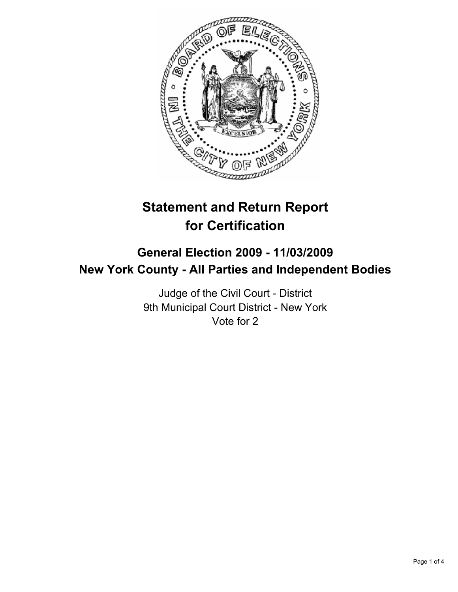

# **Statement and Return Report for Certification**

# **General Election 2009 - 11/03/2009 New York County - All Parties and Independent Bodies**

Judge of the Civil Court - District 9th Municipal Court District - New York Vote for 2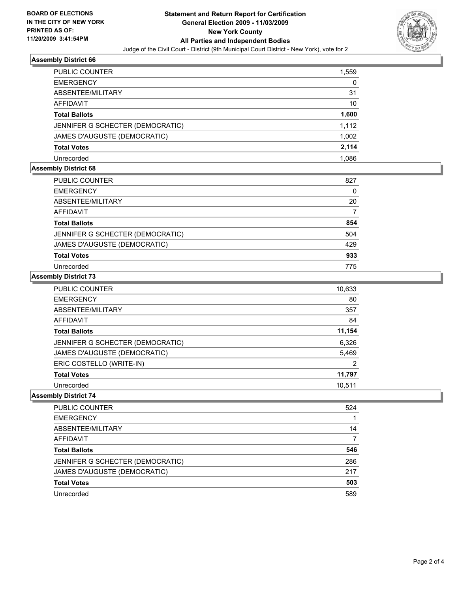

### **Assembly District 66**

| PUBLIC COUNTER                   | 1,559 |
|----------------------------------|-------|
| <b>EMERGENCY</b>                 | 0     |
| ABSENTEE/MILITARY                | 31    |
| <b>AFFIDAVIT</b>                 | 10    |
| <b>Total Ballots</b>             | 1,600 |
| JENNIFER G SCHECTER (DEMOCRATIC) | 1,112 |
| JAMES D'AUGUSTE (DEMOCRATIC)     | 1,002 |
| <b>Total Votes</b>               | 2,114 |
| Unrecorded                       | 1.086 |

## **Assembly District 68**

| PUBLIC COUNTER                   | 827 |
|----------------------------------|-----|
| <b>EMERGENCY</b>                 | 0   |
| ABSENTEE/MILITARY                | 20  |
| <b>AFFIDAVIT</b>                 | 7   |
| <b>Total Ballots</b>             | 854 |
| JENNIFER G SCHECTER (DEMOCRATIC) | 504 |
| JAMES D'AUGUSTE (DEMOCRATIC)     | 429 |
| <b>Total Votes</b>               | 933 |
| Unrecorded                       | 775 |

### **Assembly District 73**

| PUBLIC COUNTER                   | 10,633 |
|----------------------------------|--------|
| <b>EMERGENCY</b>                 | 80     |
| ABSENTEE/MILITARY                | 357    |
| <b>AFFIDAVIT</b>                 | 84     |
| <b>Total Ballots</b>             | 11,154 |
| JENNIFER G SCHECTER (DEMOCRATIC) | 6,326  |
| JAMES D'AUGUSTE (DEMOCRATIC)     | 5,469  |
| ERIC COSTELLO (WRITE-IN)         | 2      |
| <b>Total Votes</b>               | 11,797 |
| Unrecorded                       | 10.511 |

# **Assembly District 74**

| PUBLIC COUNTER                   | 524 |
|----------------------------------|-----|
| <b>EMERGENCY</b>                 |     |
| ABSENTEE/MILITARY                | 14  |
| <b>AFFIDAVIT</b>                 | 7   |
| <b>Total Ballots</b>             | 546 |
| JENNIFER G SCHECTER (DEMOCRATIC) | 286 |
| JAMES D'AUGUSTE (DEMOCRATIC)     | 217 |
| <b>Total Votes</b>               | 503 |
| Unrecorded                       | 589 |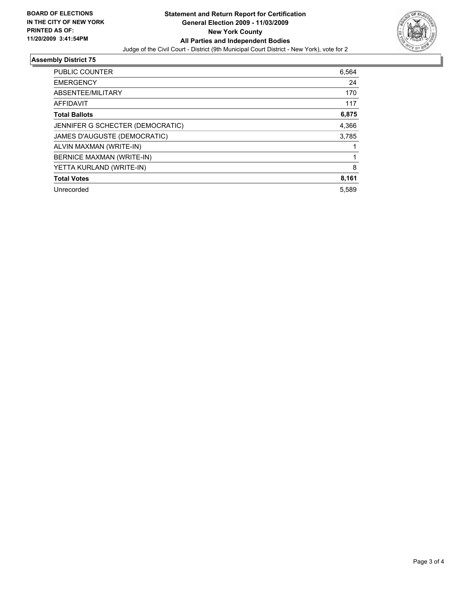

# **Assembly District 75**

| <b>PUBLIC COUNTER</b>            | 6,564 |
|----------------------------------|-------|
| <b>EMERGENCY</b>                 | 24    |
| ABSENTEE/MILITARY                | 170   |
| <b>AFFIDAVIT</b>                 | 117   |
| <b>Total Ballots</b>             | 6,875 |
| JENNIFER G SCHECTER (DEMOCRATIC) | 4,366 |
| JAMES D'AUGUSTE (DEMOCRATIC)     | 3,785 |
| ALVIN MAXMAN (WRITE-IN)          |       |
| BERNICE MAXMAN (WRITE-IN)        |       |
| YETTA KURLAND (WRITE-IN)         | 8     |
| <b>Total Votes</b>               | 8,161 |
| Unrecorded                       | 5,589 |
|                                  |       |